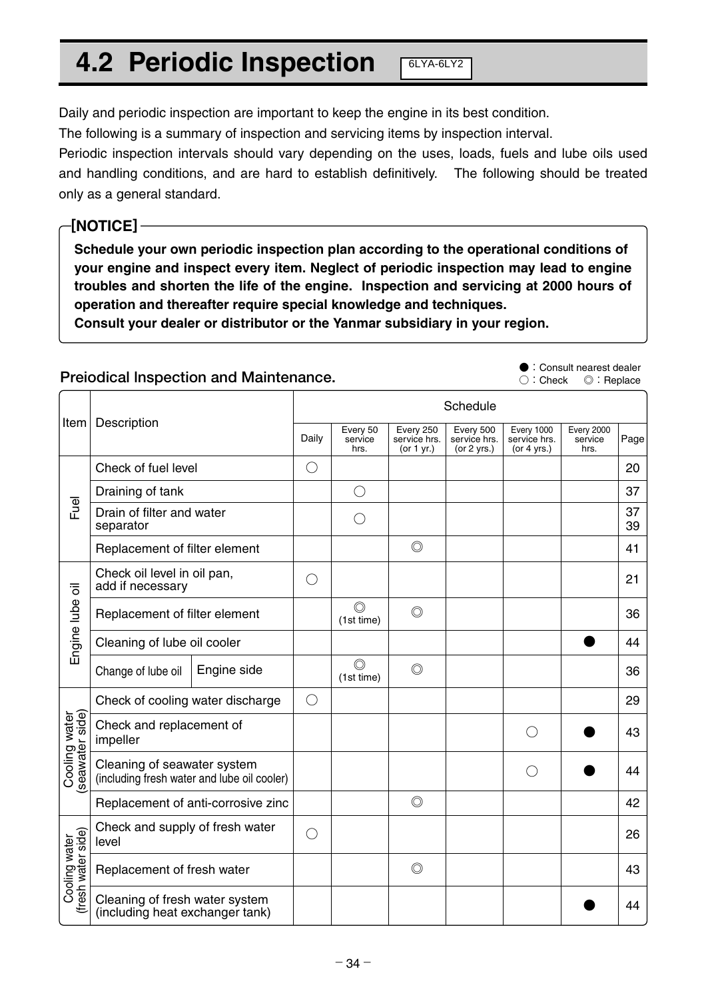## **4.2 Periodic Inspection**

Daily and periodic inspection are important to keep the engine in its best condition.

The following is a summary of inspection and servicing items by inspection interval.

Periodic inspection intervals should vary depending on the uses, loads, fuels and lube oils used and handling conditions, and are hard to establish definitively. The following should be treated only as a general standard.

 $6LYA-6LY2$ 

## **[NOTICE]**

**Schedule your own periodic inspection plan according to the operational conditions of your engine and inspect every item. Neglect of periodic inspection may lead to engine troubles and shorten the life of the engine. Inspection and servicing at 2000 hours of operation and thereafter require special knowledge and techniques.**

**Consult your dealer or distributor or the Yanmar subsidiary in your region.**

## **Preiodical lnspection and Maintenance.**

**●:**Consult nearest dealer **○:**Check **◎:**Replace

|                                     | Description<br>Item                                                        |             | Schedule   |                              |                                           |                                            |                                             |                                      |          |
|-------------------------------------|----------------------------------------------------------------------------|-------------|------------|------------------------------|-------------------------------------------|--------------------------------------------|---------------------------------------------|--------------------------------------|----------|
|                                     |                                                                            |             | Daily      | Every 50<br>service<br>hrs.  | Every 250<br>service hrs.<br>(or $1$ yr.) | Every 500<br>service hrs.<br>(or $2$ yrs.) | Every 1000<br>service hrs.<br>(or $4$ yrs.) | <b>Every 2000</b><br>service<br>hrs. | Page     |
| leu<br>Lu                           | Check of fuel level                                                        |             | $\bigcirc$ |                              |                                           |                                            |                                             |                                      | 20       |
|                                     | Draining of tank                                                           |             |            | $\bigcirc$                   |                                           |                                            |                                             |                                      | 37       |
|                                     | Drain of filter and water<br>separator                                     |             |            | $\left(\right)$              |                                           |                                            |                                             |                                      | 37<br>39 |
|                                     | Replacement of filter element                                              |             |            |                              | $\circledcirc$                            |                                            |                                             |                                      | 41       |
| Engine lube oil                     | Check oil level in oil pan,<br>add if necessary                            |             | $\bigcirc$ |                              |                                           |                                            |                                             |                                      | 21       |
|                                     | Replacement of filter element                                              |             |            | $\circledcirc$<br>(1st time) | $\circledcirc$                            |                                            |                                             |                                      | 36       |
|                                     | Cleaning of lube oil cooler                                                |             |            |                              |                                           |                                            |                                             |                                      | 44       |
|                                     | Change of lube oil                                                         | Engine side |            | $\circledcirc$<br>(1st time) | $\circledcirc$                            |                                            |                                             |                                      | 36       |
| seawater side)<br>Cooling water     | Check of cooling water discharge                                           |             | $\bigcirc$ |                              |                                           |                                            |                                             |                                      | 29       |
|                                     | Check and replacement of<br>impeller                                       |             |            |                              |                                           |                                            |                                             |                                      | 43       |
|                                     | Cleaning of seawater system<br>(including fresh water and lube oil cooler) |             |            |                              |                                           |                                            | $(\ )$                                      |                                      | 44       |
|                                     | Replacement of anti-corrosive zinc                                         |             |            |                              | $\circledcirc$                            |                                            |                                             |                                      | 42       |
| (fresh water side)<br>Cooling water | Check and supply of fresh water<br>level                                   |             | $\bigcirc$ |                              |                                           |                                            |                                             |                                      | 26       |
|                                     | Replacement of fresh water                                                 |             |            |                              | $\circledcirc$                            |                                            |                                             |                                      | 43       |
|                                     | Cleaning of fresh water system<br>(including heat exchanger tank)          |             |            |                              |                                           |                                            |                                             |                                      | 44       |